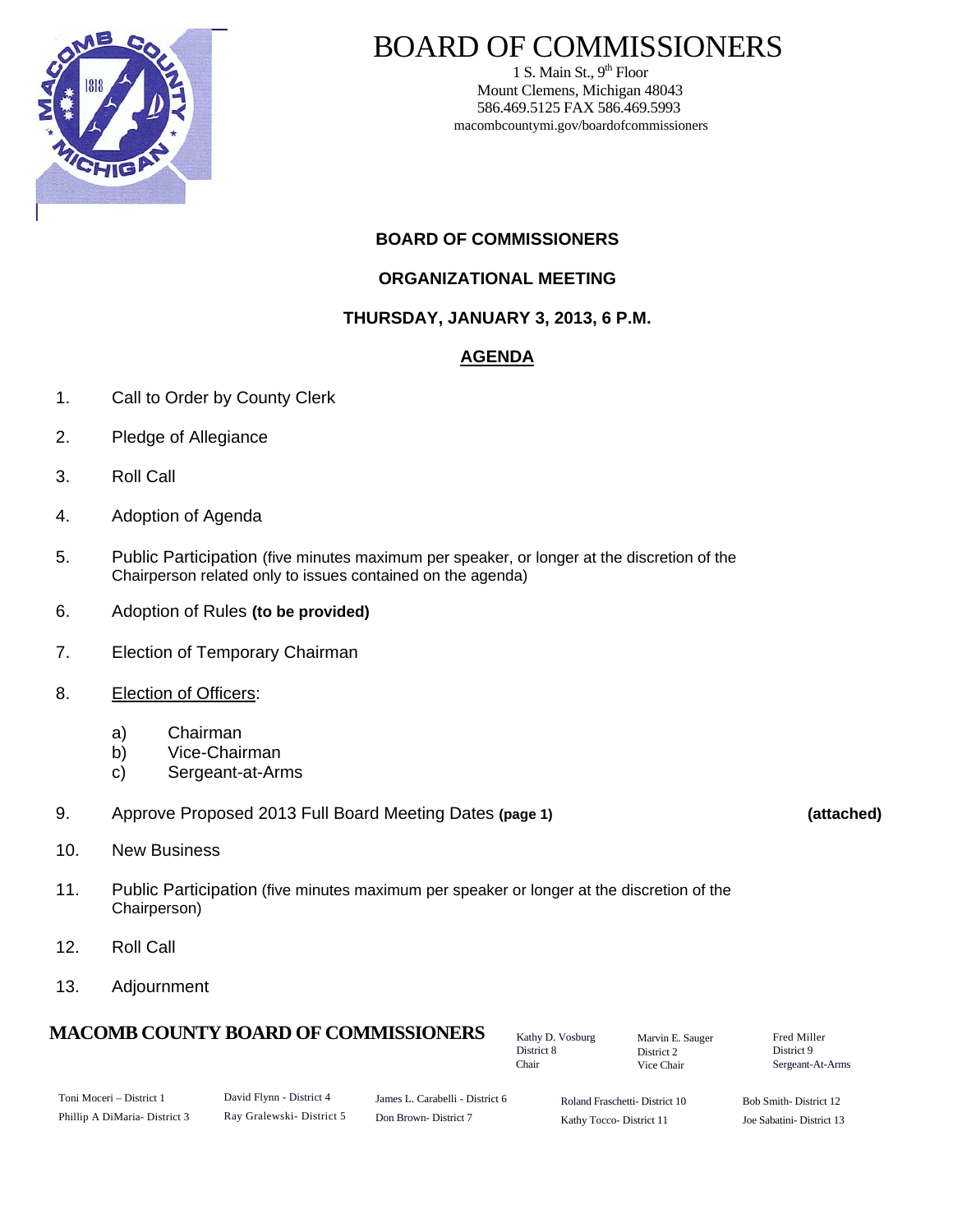

# BOARD OF COMMISSIONERS

1 S. Main St.,  $9<sup>th</sup>$  Floor Mount Clemens, Michigan 48043 586.469.5125 FAX 586.469.5993 macombcountymi.gov/boardofcommissioners

### **BOARD OF COMMISSIONERS**

#### **ORGANIZATIONAL MEETING**

**THURSDAY, JANUARY 3, 2013, 6 P.M.** 

#### **AGENDA**

- 1. Call to Order by County Clerk
- 2. Pledge of Allegiance
- 3. Roll Call
- 4. Adoption of Agenda
- 5. Public Participation (five minutes maximum per speaker, or longer at the discretion of the Chairperson related only to issues contained on the agenda)
- 6. Adoption of Rules **(to be provided)**
- 7. Election of Temporary Chairman
- 8. **Election of Officers:** 
	- a) Chairman
	- b) Vice-Chairman
	- c) Sergeant-at-Arms
- 9. Approve Proposed 2013 Full Board Meeting Dates **(page 1) (attached)**
- 

- 10. New Business
- 11. Public Participation (five minutes maximum per speaker or longer at the discretion of the Chairperson)
- 12. Roll Call
- 13. Adjournment

## **MACOMB COUNTY BOARD OF COMMISSIONERS**

Kathy D. Vosburg District 8 Chair

Marvin E. Sauger District 2 Vice Chair

| Fred Miller      |
|------------------|
| District 9       |
| Sergeant-At-Arms |

| Toni Moceri – District 1     | David Flynn - District 4 | James L. Carabelli - District 6 | Roland Fraschetti-District 10 | Bob Smith-District 12    |
|------------------------------|--------------------------|---------------------------------|-------------------------------|--------------------------|
| Phillip A DiMaria-District 3 | Rav Gralewski-District 5 | Don Brown-District 7            | Kathy Tocco-District 11       | Joe Sabatini-District 13 |

Kathy Tocco- District 11